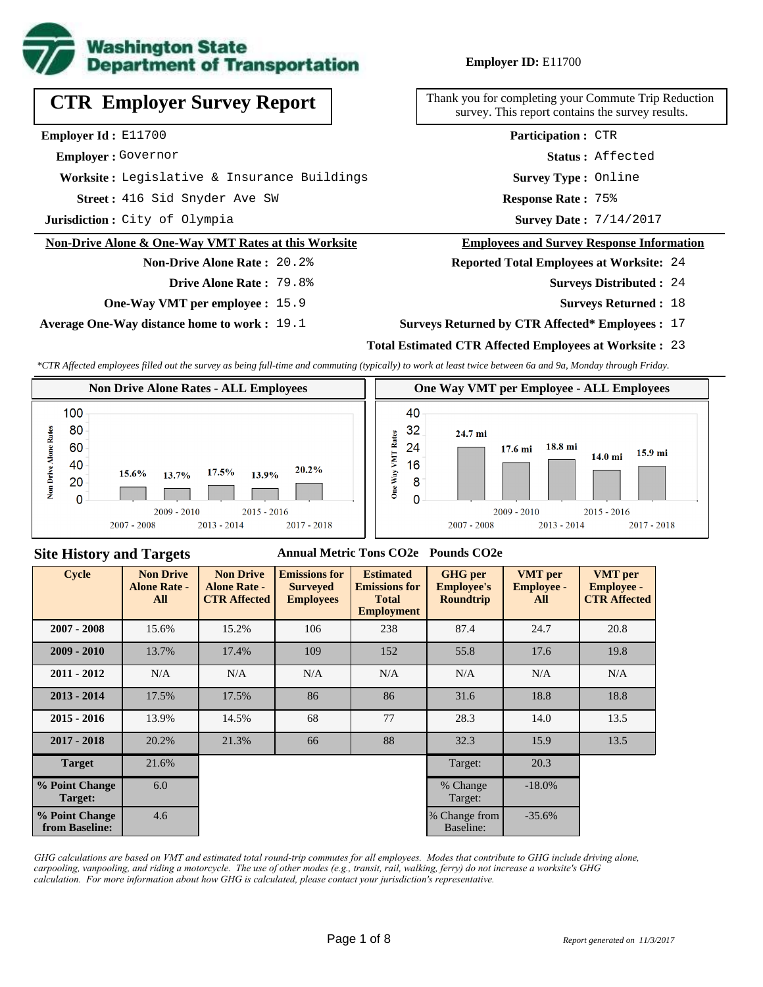

# **CTR Employer Survey Report**

**Employer Id :** E11700

 **Employer :** Governor

**Worksite :** Legislative & Insurance Buildings

416 Sid Snyder Ave SW **Response Rate : Street :**

**Jurisdiction :** City of Olympia

#### **Non-Drive Alone & One-Way VMT Rates at this Worksite**

#### **Non-Drive Alone Rate :** 20.2% **Drive Alone Rate :** 79.8%

**One-Way VMT per employee :** 15.9

**Average One-Way distance home to work :** 19.1

#### **Employer ID:** E11700

Thank you for completing your Commute Trip Reduction survey. This report contains the survey results.

> **Status :** Affected **Participation :** CTR

**Survey Type :** Online

Response Rate: 75%

Survey Date:  $7/14/2017$ 

#### **Employees and Survey Response Information**

**Reported Total Employees at Worksite:** 24

- 24 **Surveys Distributed :**
	- **Surveys Returned :** 18

#### **Surveys Returned by CTR Affected\* Employees :** 17

#### **Total Estimated CTR Affected Employees at Worksite :** 23

*\*CTR Affected employees filled out the survey as being full-time and commuting (typically) to work at least twice between 6a and 9a, Monday through Friday.*



#### **Site History and Targets**

#### **Annual Metric Tons CO2e Pounds CO2e**

| Cycle                            | <b>Non Drive</b><br><b>Alone Rate -</b><br>All | <b>Non Drive</b><br><b>Alone Rate -</b><br><b>CTR Affected</b> | <b>Emissions for</b><br><b>Surveyed</b><br><b>Employees</b> | <b>Estimated</b><br><b>Emissions for</b><br><b>Total</b><br><b>Employment</b> | <b>GHG</b> per<br><b>Employee's</b><br><b>Roundtrip</b> | <b>VMT</b> per<br><b>Employee -</b><br>All | <b>VMT</b> per<br><b>Employee -</b><br><b>CTR Affected</b> |
|----------------------------------|------------------------------------------------|----------------------------------------------------------------|-------------------------------------------------------------|-------------------------------------------------------------------------------|---------------------------------------------------------|--------------------------------------------|------------------------------------------------------------|
| $2007 - 2008$                    | 15.6%                                          | 15.2%                                                          | 106                                                         | 238                                                                           | 87.4                                                    | 24.7                                       | 20.8                                                       |
| $2009 - 2010$                    | 13.7%                                          | 17.4%                                                          | 109                                                         | 152                                                                           | 55.8                                                    | 17.6                                       | 19.8                                                       |
| $2011 - 2012$                    | N/A                                            | N/A                                                            | N/A                                                         | N/A                                                                           | N/A                                                     | N/A                                        | N/A                                                        |
| $2013 - 2014$                    | 17.5%                                          | 17.5%                                                          | 86                                                          | 86                                                                            | 31.6                                                    | 18.8                                       | 18.8                                                       |
| $2015 - 2016$                    | 13.9%                                          | 14.5%                                                          | 68                                                          | 77                                                                            | 28.3                                                    | 14.0                                       | 13.5                                                       |
| $2017 - 2018$                    | 20.2%                                          | 21.3%                                                          | 66                                                          | 88                                                                            | 32.3                                                    | 15.9                                       | 13.5                                                       |
| <b>Target</b>                    | 21.6%                                          |                                                                |                                                             |                                                                               | Target:                                                 | 20.3                                       |                                                            |
| % Point Change<br>Target:        | 6.0                                            |                                                                |                                                             |                                                                               | % Change<br>Target:                                     | $-18.0\%$                                  |                                                            |
| % Point Change<br>from Baseline: | 4.6                                            |                                                                |                                                             |                                                                               | % Change from<br>Baseline:                              | $-35.6%$                                   |                                                            |

*GHG calculations are based on VMT and estimated total round-trip commutes for all employees. Modes that contribute to GHG include driving alone, carpooling, vanpooling, and riding a motorcycle. The use of other modes (e.g., transit, rail, walking, ferry) do not increase a worksite's GHG calculation. For more information about how GHG is calculated, please contact your jurisdiction's representative.*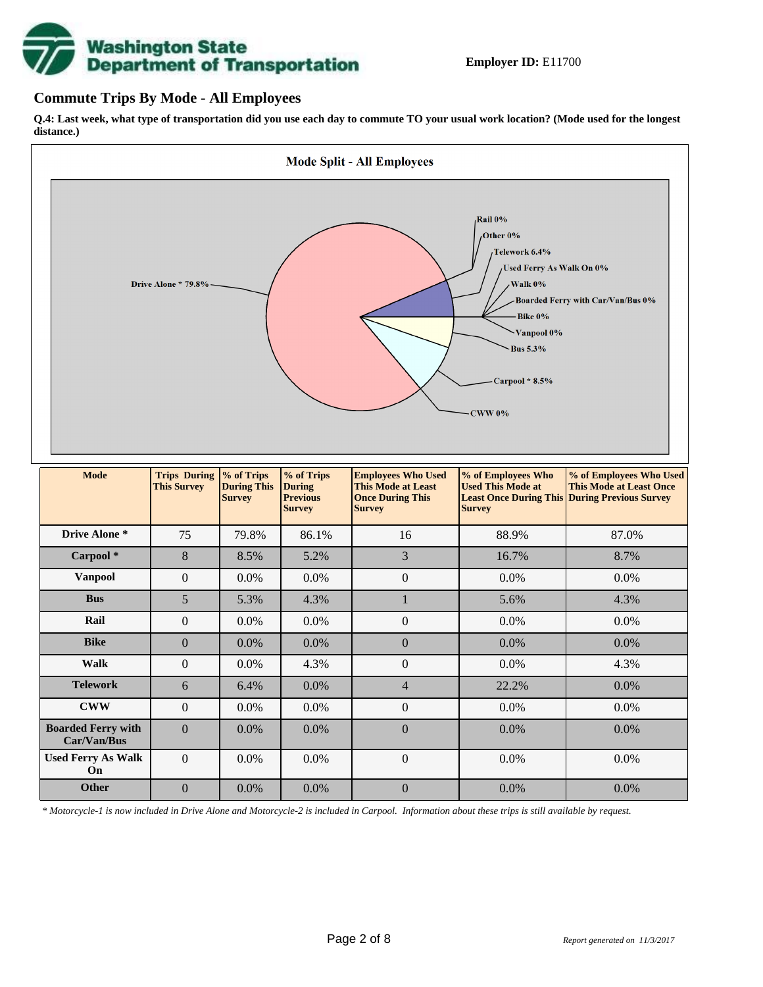# **Washington State<br>Department of Transportation**

#### **Commute Trips By Mode - All Employees**

**Q.4: Last week, what type of transportation did you use each day to commute TO your usual work location? (Mode used for the longest distance.)**



*\* Motorcycle-1 is now included in Drive Alone and Motorcycle-2 is included in Carpool. Information about these trips is still available by request.*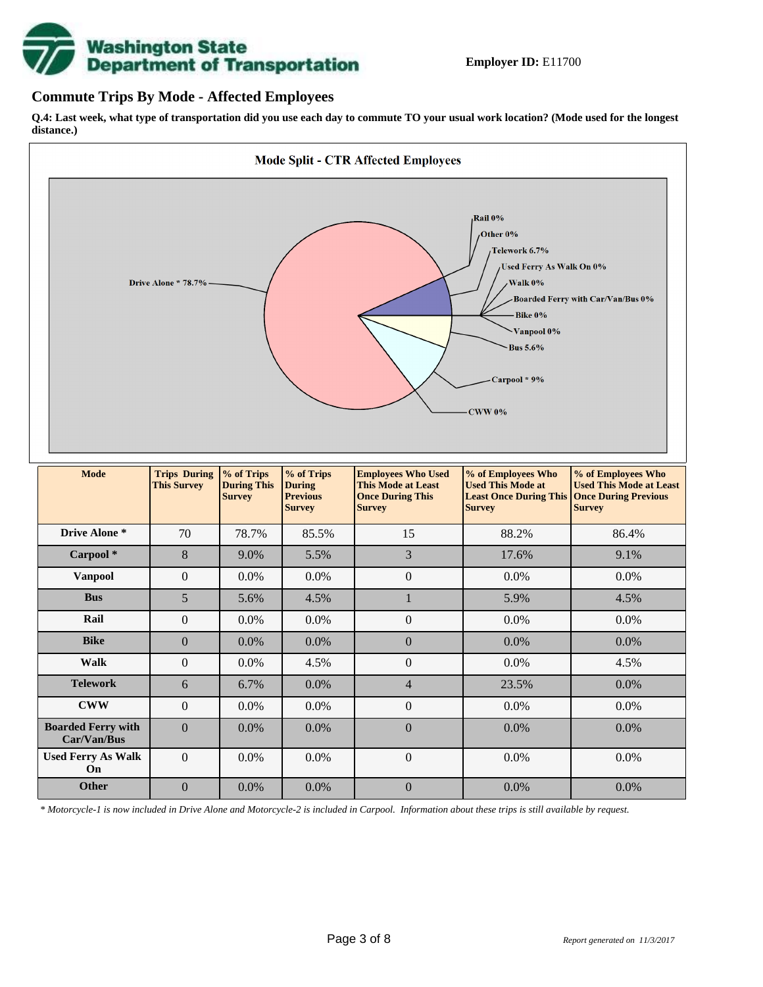

#### **Commute Trips By Mode - Affected Employees**

**Q.4: Last week, what type of transportation did you use each day to commute TO your usual work location? (Mode used for the longest distance.)**



*\* Motorcycle-1 is now included in Drive Alone and Motorcycle-2 is included in Carpool. Information about these trips is still available by request.*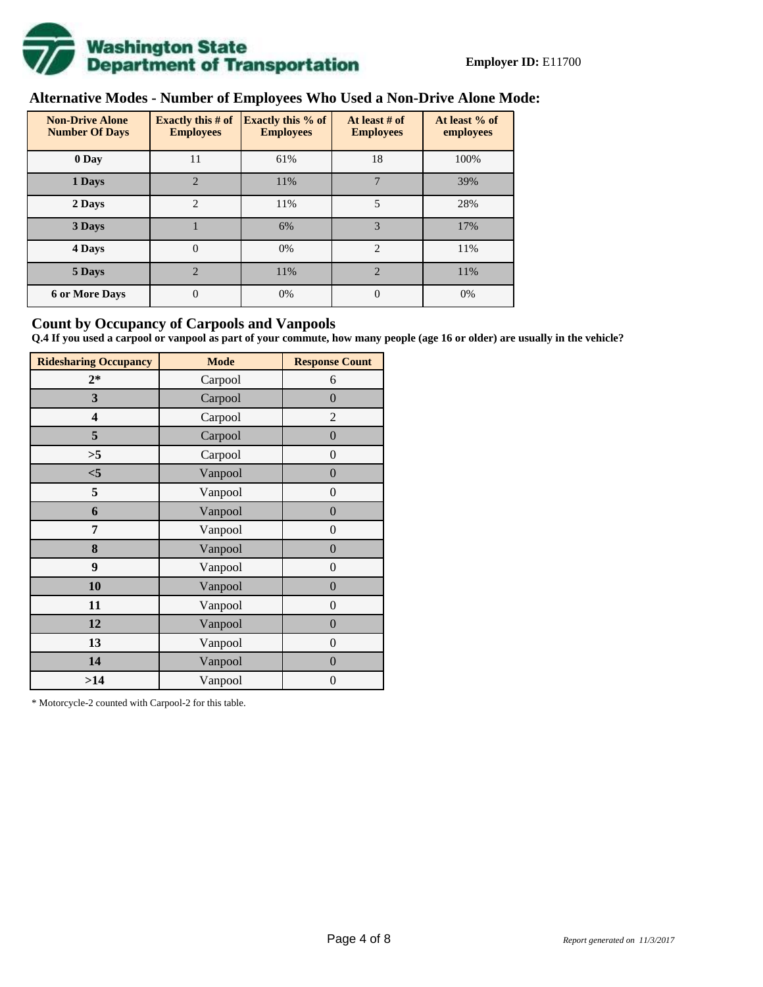

# **Alternative Modes - Number of Employees Who Used a Non-Drive Alone Mode:**

| <b>Non-Drive Alone</b><br><b>Number Of Days</b> | Exactly this $#$ of<br><b>Employees</b> | <b>Exactly this % of</b><br><b>Employees</b> | At least # of<br><b>Employees</b> | At least % of<br>employees |  |  |
|-------------------------------------------------|-----------------------------------------|----------------------------------------------|-----------------------------------|----------------------------|--|--|
| 0 Day                                           | 11                                      | 61%                                          | 18                                | 100%                       |  |  |
| 1 Days                                          | $\overline{2}$                          | 11%                                          | 7                                 | 39%                        |  |  |
| 2 Days                                          | 2                                       | 11%                                          | 5                                 | 28%                        |  |  |
| 3 Days                                          |                                         | 6%                                           | 3                                 | 17%                        |  |  |
| 4 Days                                          | $\Omega$                                | 0%                                           | $\overline{2}$                    | 11%                        |  |  |
| 5 Days                                          | $\mathfrak{D}$                          | 11%                                          | $\mathfrak{D}$                    | 11%                        |  |  |
| <b>6 or More Days</b>                           | $\theta$                                | 0%                                           | $\Omega$                          | 0%                         |  |  |

#### **Count by Occupancy of Carpools and Vanpools**

**Q.4 If you used a carpool or vanpool as part of your commute, how many people (age 16 or older) are usually in the vehicle?**

| <b>Ridesharing Occupancy</b> | <b>Mode</b> | <b>Response Count</b> |
|------------------------------|-------------|-----------------------|
| $2*$                         | Carpool     | 6                     |
| 3                            | Carpool     | $\boldsymbol{0}$      |
| 4                            | Carpool     | $\overline{2}$        |
| 5                            | Carpool     | $\overline{0}$        |
| >5                           | Carpool     | $\overline{0}$        |
| $<$ 5                        | Vanpool     | $\boldsymbol{0}$      |
| 5                            | Vanpool     | $\boldsymbol{0}$      |
| 6                            | Vanpool     | $\boldsymbol{0}$      |
| 7                            | Vanpool     | $\boldsymbol{0}$      |
| 8                            | Vanpool     | $\overline{0}$        |
| 9                            | Vanpool     | $\overline{0}$        |
| 10                           | Vanpool     | $\overline{0}$        |
| 11                           | Vanpool     | $\boldsymbol{0}$      |
| 12                           | Vanpool     | $\boldsymbol{0}$      |
| 13                           | Vanpool     | $\theta$              |
| 14                           | Vanpool     | $\theta$              |
| >14                          | Vanpool     | 0                     |

\* Motorcycle-2 counted with Carpool-2 for this table.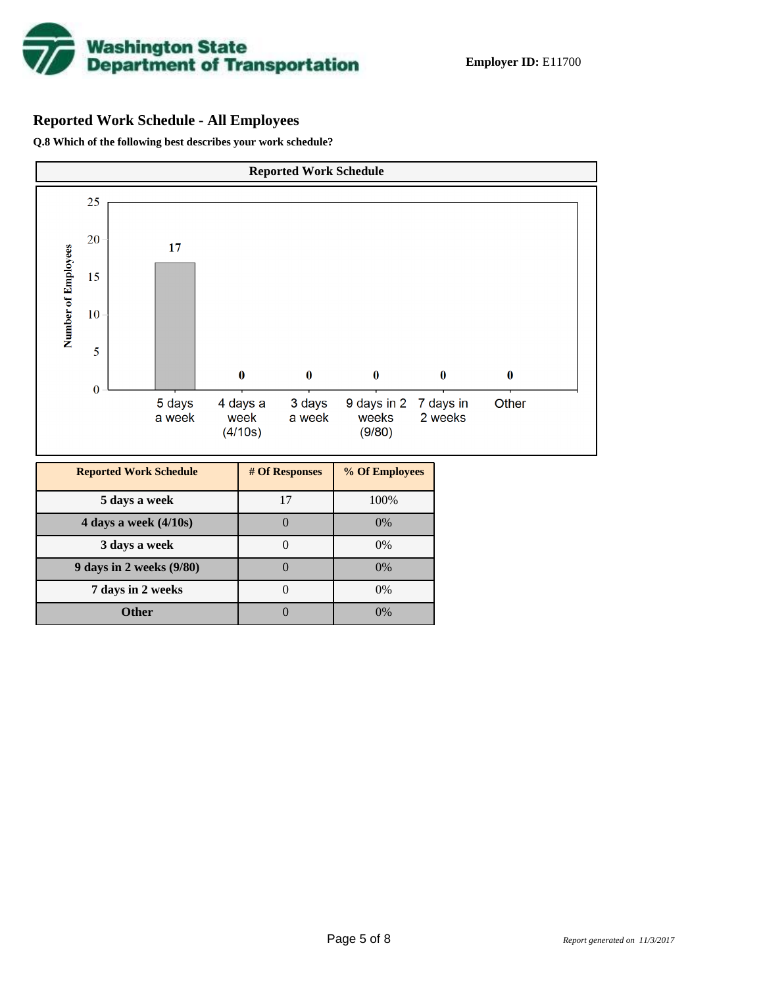

# **Reported Work Schedule - All Employees**

**Q.8 Which of the following best describes your work schedule?**

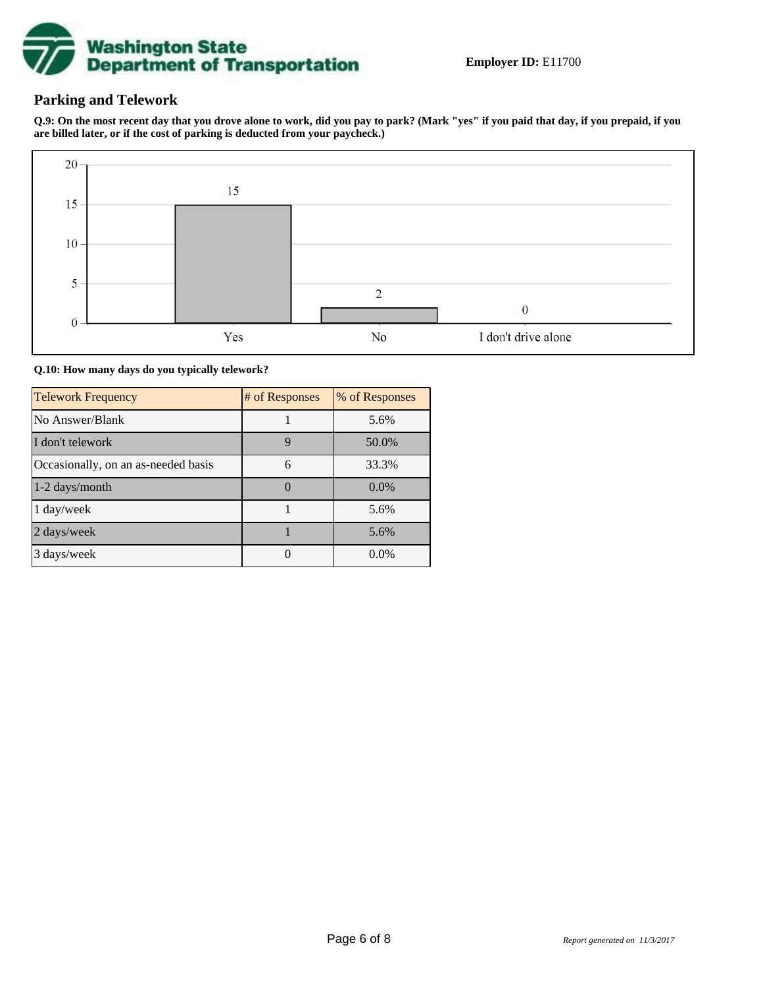

### **Parking and Telework**

**Q.9: On the most recent day that you drove alone to work, did you pay to park? (Mark "yes" if you paid that day, if you prepaid, if you are billed later, or if the cost of parking is deducted from your paycheck.)**



**Q.10: How many days do you typically telework?**

| <b>Telework Frequency</b>           | # of Responses | % of Responses |
|-------------------------------------|----------------|----------------|
| No Answer/Blank                     |                | 5.6%           |
| I don't telework                    | 9              | 50.0%          |
| Occasionally, on an as-needed basis | 6              | 33.3%          |
| 1-2 days/month                      |                | $0.0\%$        |
| 1 day/week                          |                | 5.6%           |
| 2 days/week                         |                | 5.6%           |
| 3 days/week                         |                | $0.0\%$        |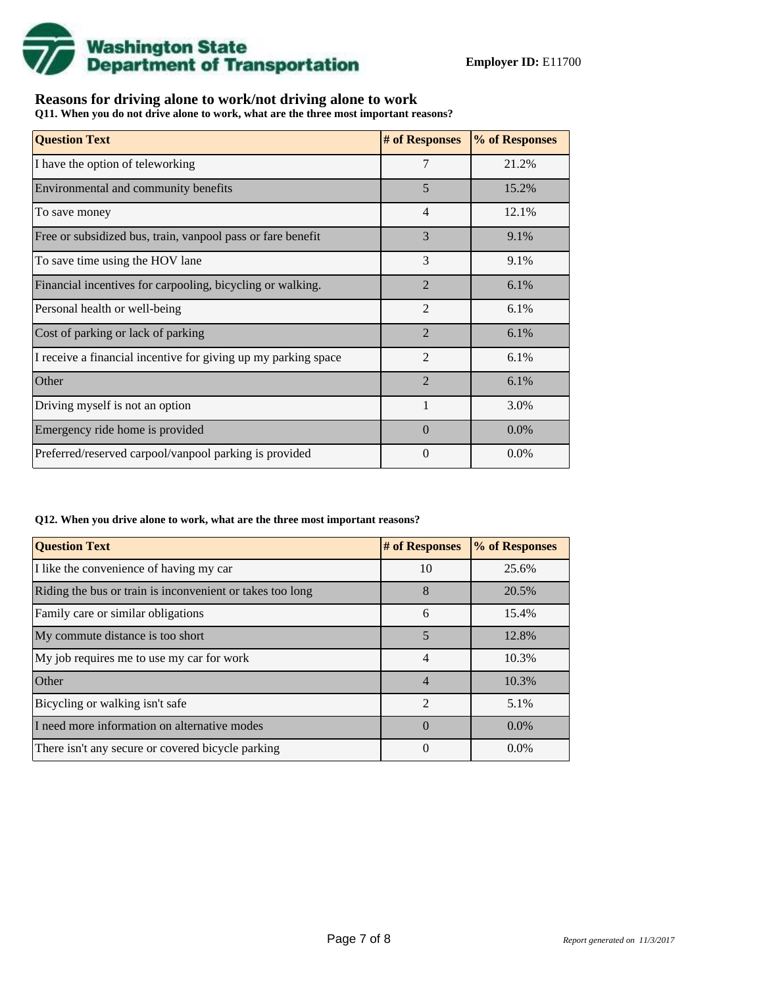

## **Reasons for driving alone to work/not driving alone to work**

**Q11. When you do not drive alone to work, what are the three most important reasons?**

| <b>Question Text</b>                                           | # of Responses | % of Responses |
|----------------------------------------------------------------|----------------|----------------|
| I have the option of teleworking                               | 7              | 21.2%          |
| Environmental and community benefits                           | 5              | 15.2%          |
| To save money                                                  | $\overline{4}$ | 12.1%          |
| Free or subsidized bus, train, vanpool pass or fare benefit    | 3              | 9.1%           |
| To save time using the HOV lane                                | 3              | 9.1%           |
| Financial incentives for carpooling, bicycling or walking.     | $\mathcal{D}$  | 6.1%           |
| Personal health or well-being                                  | $\overline{2}$ | 6.1%           |
| Cost of parking or lack of parking                             | $\overline{2}$ | 6.1%           |
| I receive a financial incentive for giving up my parking space | $\mathfrak{D}$ | 6.1%           |
| Other                                                          | $\overline{2}$ | 6.1%           |
| Driving myself is not an option                                |                | 3.0%           |
| Emergency ride home is provided                                | $\Omega$       | $0.0\%$        |
| Preferred/reserved carpool/vanpool parking is provided         | $\Omega$       | $0.0\%$        |

#### **Q12. When you drive alone to work, what are the three most important reasons?**

| <b>Question Text</b>                                      | # of Responses | % of Responses |
|-----------------------------------------------------------|----------------|----------------|
| I like the convenience of having my car                   | 10             | 25.6%          |
| Riding the bus or train is inconvenient or takes too long | 8              | 20.5%          |
| Family care or similar obligations                        | 6              | 15.4%          |
| My commute distance is too short                          | 5              | 12.8%          |
| My job requires me to use my car for work                 | 4              | 10.3%          |
| Other                                                     | $\overline{4}$ | 10.3%          |
| Bicycling or walking isn't safe                           | $\mathfrak{D}$ | 5.1%           |
| I need more information on alternative modes              | $\Omega$       | $0.0\%$        |
| There isn't any secure or covered bicycle parking         | 0              | $0.0\%$        |